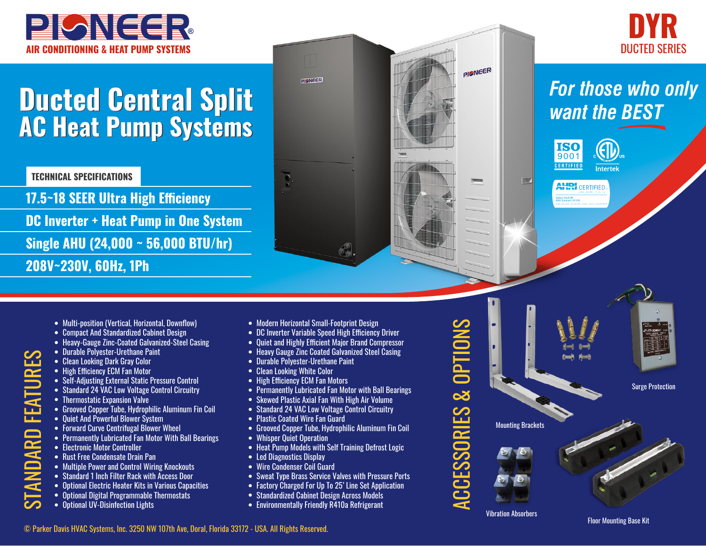



## **Ducted Central Split Ducted Central Split AC Heat Pump Systems AC Heat Pump Systems**

**TECHNICAL SPECIFICATIONS**

**17.5~18 SEER Ultra High Efficiency DC Inverter + Heat Pump in One System Single AHU (24,000 ~ 56,000 BTU/hr) 208V~230V, 60Hz, 1Ph**

• Grooved Copper Tube, Hydrophilic Aluminum Fin Coil

• Permanently Lubricated Fan Motor With Ball Bearings

• Optional Electric Heater Kits in Various Capacities • Optional Digital Programmable Thermostats

• Self-Adjusting External Static Pressure Control • Standard 24 VAC Low Voltage Control Circuitry

• Forward Curve Centrifugal Blower Wheel

• Ouiet And Powerful Blower System

• Durable Polyester-Urethane Paint • Clean Looking Dark Gray Color • High Efficiency ECM Fan Motor

 $\bullet$  Thermostatic Expansion Valve

 $\bullet$  Flectronic Motor Controller

• Rust Free Condensate Drain Pan

• Optional UV-Disinfection Lights

• Compact And Standardized Cabinet Design

• Multi-position (Vertical, Horizontal, Downflow)

• Heavy-Gauge Zinc-Coated Galvanized-Steel Casing

- **AIR CONDITIONING & HEAT PUMP SYSTEMS** DUCTED SERIES PISNEER **PISNEER** 69. • Modern Horizontal Small-Footprint Design • DC Inverter Variable Speed High Efficiency Driver • Quiet and Highly Efficient Major Brand Compressor
	- Heavy Gauge Zinc Coated Galvanized Steel Casing
	- Durable Polyester-Urethane Paint
	- Clean Looking White Color
	- High Efficiency ECM Fan Motors
	- Permanently Lubricated Fan Motor with Ball Bearings
	- Skewed Plastic Axial Fan With High Air Volume
	- Standard 24 VAC Low Voltage Control Circuitry
	- Plastic Coated Wire Fan Guard
	- Grooved Copper Tube, Hydrophilic Aluminum Fin Coil
	- Whisper Quiet Operation
	- Heat Pump Models with Self Training Defrost Logic
	- Led Diagnostics Display
	- Standard 1 Inch Filter Rack with Access Door • Multiple Power and Control Wiring Knockouts • Wire Condenser Coil Guard
		- Sweat Type Brass Service Valves with Pressure Ports
		- Factory Charged For Up To 25' Line Set Application
		- Standardized Cabinet Design Across Models
		- Environmentally Friendly R410a Refrigerant

• Multip ensition (Vertical, Horizontal, Download Standard Zel, Horizontal Standard Channel Design<br>
• Chemeter Variable Speed High Efficiency Driver<br>
• Design Zinc-Coated Galvanized-Steel Casing<br>
• Diet and Highly Effic

*want the BEST* **ISO** 9001

**Intertek** 

*For those who only* 

**AHRI** CERTIFIED. itary Small HP<br>491 Standard 210/2

**CERTIFIED** 

 $\blacksquare$ 

Surge Protection

Mounting Brackets

Vibration Absorbers

## © Parker Davis HVAC Systems, Inc. 3250 NW 107th Ave, Doral, Florida 33172 - USA. All Rights Reserved.

Floor Mounting Base Kit